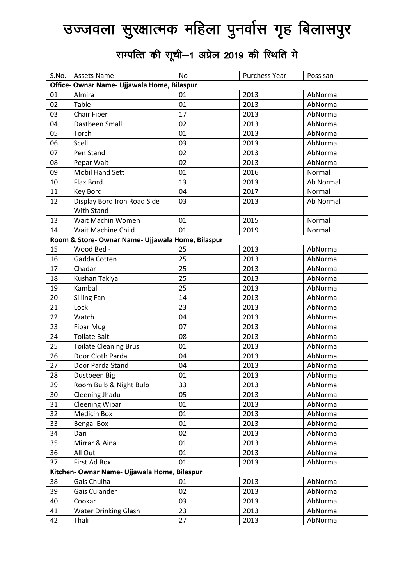## उज्जवला सुरक्षात्मक महिला पुनर्वास गृह बिलासपुर

सम्पत्ति की सूची-1 अप्रेल 2019 की स्थिति मे

| S.No.                                        | <b>Assets Name</b>                               | No | Purchess Year | Possisan  |  |  |
|----------------------------------------------|--------------------------------------------------|----|---------------|-----------|--|--|
| Office- Ownar Name- Ujjawala Home, Bilaspur  |                                                  |    |               |           |  |  |
| 01                                           | Almira                                           | 01 | 2013          | AbNormal  |  |  |
| 02                                           | Table                                            | 01 | 2013          | AbNormal  |  |  |
| 03                                           | Chair Fiber                                      | 17 | 2013          | AbNormal  |  |  |
| 04                                           | Dastbeen Small                                   | 02 | 2013          | AbNormal  |  |  |
| 05                                           | Torch                                            | 01 | 2013          | AbNormal  |  |  |
| 06                                           | Scell                                            | 03 | 2013          | AbNormal  |  |  |
| 07                                           | Pen Stand                                        | 02 | 2013          | AbNormal  |  |  |
| 08                                           | Pepar Wait                                       | 02 | 2013          | AbNormal  |  |  |
| 09                                           | Mobil Hand Sett                                  | 01 | 2016          | Normal    |  |  |
| 10                                           | Flax Bord                                        | 13 | 2013          | Ab Normal |  |  |
| 11                                           | Key Bord                                         | 04 | 2017          | Normal    |  |  |
| 12                                           | Display Bord Iron Road Side<br><b>With Stand</b> | 03 | 2013          | Ab Normal |  |  |
| 13                                           | Wait Machin Women                                | 01 | 2015          | Normal    |  |  |
| 14                                           | Wait Machine Child                               | 01 | 2019          | Normal    |  |  |
|                                              | Room & Store-Ownar Name- Ujjawala Home, Bilaspur |    |               |           |  |  |
| 15                                           | Wood Bed -                                       | 25 | 2013          | AbNormal  |  |  |
| 16                                           | Gadda Cotten                                     | 25 | 2013          | AbNormal  |  |  |
| 17                                           | Chadar                                           | 25 | 2013          | AbNormal  |  |  |
| 18                                           | Kushan Takiya                                    | 25 | 2013          | AbNormal  |  |  |
| 19                                           | Kambal                                           | 25 | 2013          | AbNormal  |  |  |
| 20                                           | <b>Silling Fan</b>                               | 14 | 2013          | AbNormal  |  |  |
| 21                                           | Lock                                             | 23 | 2013          | AbNormal  |  |  |
| 22                                           | Watch                                            | 04 | 2013          | AbNormal  |  |  |
| 23                                           | <b>Fibar Mug</b>                                 | 07 | 2013          | AbNormal  |  |  |
| 24                                           | <b>Toilate Balti</b>                             | 08 | 2013          | AbNormal  |  |  |
| 25                                           | <b>Toilate Cleaning Brus</b>                     | 01 | 2013          | AbNormal  |  |  |
| 26                                           | Door Cloth Parda                                 | 04 | 2013          | AbNormal  |  |  |
| 27                                           | Door Parda Stand                                 | 04 | 2013          | AbNormal  |  |  |
| 28                                           | Dustbeen Big                                     | 01 | 2013          | AbNormal  |  |  |
| 29                                           | Room Bulb & Night Bulb                           | 33 | 2013          | AbNormal  |  |  |
| 30                                           | Cleening Jhadu                                   | 05 | 2013          | AbNormal  |  |  |
| 31                                           | <b>Cleening Wipar</b>                            | 01 | 2013          | AbNormal  |  |  |
| 32                                           | <b>Medicin Box</b>                               | 01 | 2013          | AbNormal  |  |  |
| 33                                           | <b>Bengal Box</b>                                | 01 | 2013          | AbNormal  |  |  |
| 34                                           | Dari                                             | 02 | 2013          | AbNormal  |  |  |
| 35                                           | Mirrar & Aina                                    | 01 | 2013          | AbNormal  |  |  |
| 36                                           | All Out                                          | 01 | 2013          | AbNormal  |  |  |
| 37                                           | First Ad Box                                     | 01 | 2013          | AbNormal  |  |  |
| Kitchen- Ownar Name- Ujjawala Home, Bilaspur |                                                  |    |               |           |  |  |
| 38                                           | Gais Chulha                                      | 01 | 2013          | AbNormal  |  |  |
| 39                                           | Gais Culander                                    | 02 | 2013          | AbNormal  |  |  |
| 40                                           | Cookar                                           | 03 | 2013          | AbNormal  |  |  |
| 41                                           | <b>Water Drinking Glash</b>                      | 23 | 2013          | AbNormal  |  |  |
| 42                                           | Thali                                            | 27 | 2013          | AbNormal  |  |  |